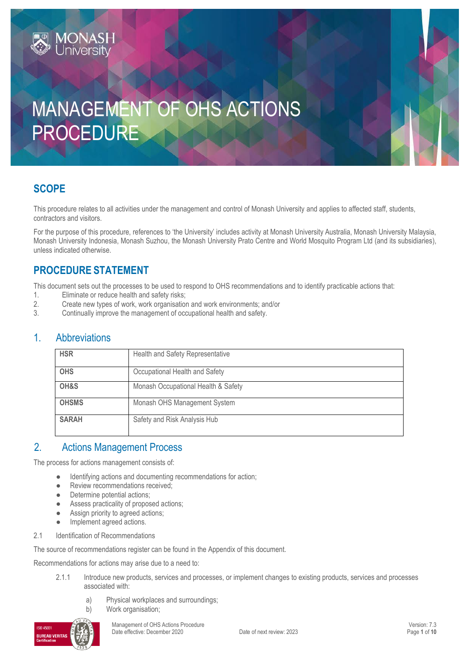# MANAGEMENT OF OHS ACTIONS PROCEDURE

## **SCOPE**

This procedure relates to all activities under the management and control of Monash University and applies to affected staff, students, contractors and visitors.

For the purpose of this procedure, references to 'the University' includes activity at Monash University Australia, Monash University Malaysia, Monash University Indonesia, Monash Suzhou, the Monash University Prato Centre and World Mosquito Program Ltd (and its subsidiaries), unless indicated otherwise.

## **PROCEDURE STATEMENT**

**MONASH**<br>University

This document sets out the processes to be used to respond to OHS recommendations and to identify practicable actions that:

- 1. Eliminate or reduce health and safety risks;<br>2. Create new types of work, work organisation
- 2. Create new types of work, work organisation and work environments; and/or
- 3. Continually improve the management of occupational health and safety.

## 1. Abbreviations

| <b>HSR</b>   | Health and Safety Representative    |
|--------------|-------------------------------------|
| <b>OHS</b>   | Occupational Health and Safety      |
| OH&S         | Monash Occupational Health & Safety |
| <b>OHSMS</b> | Monash OHS Management System        |
| <b>SARAH</b> | Safety and Risk Analysis Hub        |

## 2. Actions Management Process

The process for actions management consists of:

- Identifying actions and documenting recommendations for action;
- Review recommendations received;
- Determine potential actions;
- Assess practicality of proposed actions;
- Assign priority to agreed actions;
- Implement agreed actions.
- 2.1 Identification of Recommendations

The source of recommendations register can be found in the Appendix of this document.

Recommendations for actions may arise due to a need to:

- 2.1.1 Introduce new products, services and processes, or implement changes to existing products, services and processes associated with:
	- a) Physical workplaces and surroundings; b) Work organisation;



Management of OHS Actions Procedure<br>
Date effective: December 2020<br>
Date of next review: 2023<br>
Page 1 of 10 Date effective: December 2020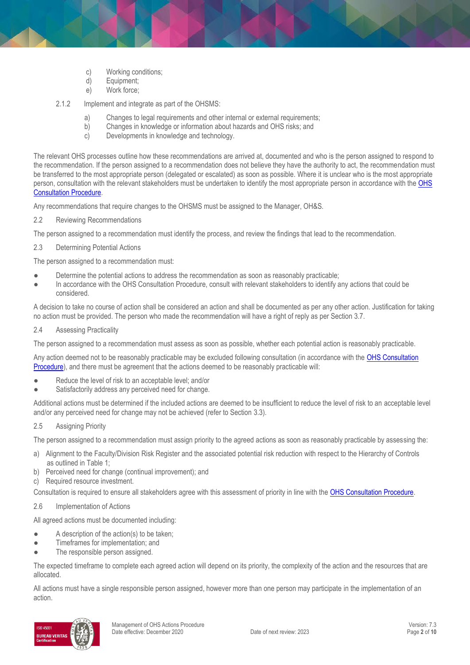- 
- c) Working conditions;<br>d) Equipment: Equipment;
- e) Work force;

2.1.2 Implement and integrate as part of the OHSMS:

- a) Changes to legal requirements and other internal or external requirements;<br>b) Changes in knowledge or information about hazards and OHS risks: and
- b) Changes in knowledge or information about hazards and OHS risks; and
- c) Developments in knowledge and technology.

The relevant OHS processes outline how these recommendations are arrived at, documented and who is the person assigned to respond to the recommendation. If the person assigned to a recommendation does not believe they have the authority to act, the recommendation must be transferred to the most appropriate person (delegated or escalated) as soon as possible. Where it is unclear who is the most appropriate person, consultation with the relevant stakeholders must be undertaken to identify the most appropriate person in accordance with the OHS [Consultation Procedure.](https://publicpolicydms.monash.edu/Monash/documents/1935625)

Any recommendations that require changes to the OHSMS must be assigned to the Manager, OH&S.

2.2 Reviewing Recommendations

The person assigned to a recommendation must identify the process, and review the findings that lead to the recommendation.

2.3 Determining Potential Actions

The person assigned to a recommendation must:

- Determine the potential actions to address the recommendation as soon as reasonably practicable;
- In accordance with the OHS Consultation Procedure, consult with relevant stakeholders to identify any actions that could be considered.

A decision to take no course of action shall be considered an action and shall be documented as per any other action. Justification for taking no action must be provided. The person who made the recommendation will have a right of reply as per Section 3.7.

2.4 Assessing Practicality

The person assigned to a recommendation must assess as soon as possible, whether each potential action is reasonably practicable.

Any action deemed not to be reasonably practicable may be excluded following consultation (in accordance with the OHS Consultation [Procedure\)](https://publicpolicydms.monash.edu/Monash/documents/1935625), and there must be agreement that the actions deemed to be reasonably practicable will:

- Reduce the level of risk to an acceptable level; and/or
- Satisfactorily address any perceived need for change.

Additional actions must be determined if the included actions are deemed to be insufficient to reduce the level of risk to an acceptable level and/or any perceived need for change may not be achieved (refer to Section 3.3).

2.5 Assigning Priority

The person assigned to a recommendation must assign priority to the agreed actions as soon as reasonably practicable by assessing the:

- a) Alignment to the Faculty/Division Risk Register and the associated potential risk reduction with respect to the Hierarchy of Controls as outlined in Table 1;
- b) Perceived need for change (continual improvement); and
- c) Required resource investment.

Consultation is required to ensure all stakeholders agree with this assessment of priority in line with the [OHS Consultation Procedure.](https://publicpolicydms.monash.edu/Monash/documents/1935625)

2.6 Implementation of Actions

All agreed actions must be documented including:

- A description of the action(s) to be taken;
- Timeframes for implementation; and
- The responsible person assigned.

The expected timeframe to complete each agreed action will depend on its priority, the complexity of the action and the resources that are allocated.

All actions must have a single responsible person assigned, however more than one person may participate in the implementation of an action.

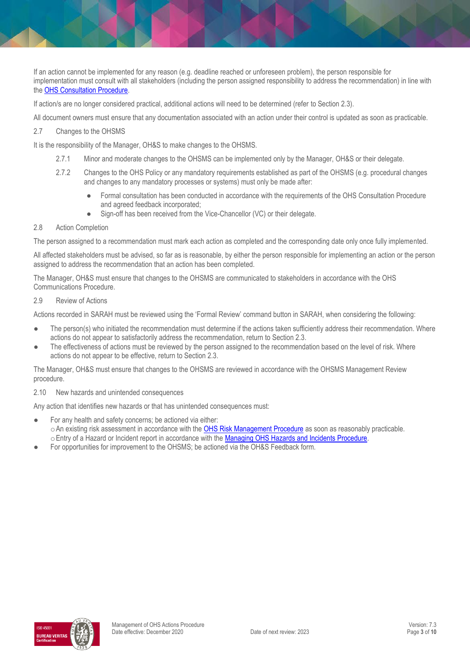If an action cannot be implemented for any reason (e.g. deadline reached or unforeseen problem), the person responsible for implementation must consult with all stakeholders (including the person assigned responsibility to address the recommendation) in line with the [OHS Consultation Procedure.](https://publicpolicydms.monash.edu/Monash/documents/1935625)

If action/s are no longer considered practical, additional actions will need to be determined (refer to Section 2.3).

All document owners must ensure that any documentation associated with an action under their control is updated as soon as practicable.

2.7 Changes to the OHSMS

It is the responsibility of the Manager, OH&S to make changes to the OHSMS.

- 2.7.1 Minor and moderate changes to the OHSMS can be implemented only by the Manager, OH&S or their delegate.
- 2.7.2 Changes to the OHS Policy or any mandatory requirements established as part of the OHSMS (e.g. procedural changes and changes to any mandatory processes or systems) must only be made after:
	- Formal consultation has been conducted in accordance with the requirements of the OHS Consultation Procedure and agreed feedback incorporated;
	- Sign-off has been received from the Vice-Chancellor (VC) or their delegate.

#### 2.8 Action Completion

The person assigned to a recommendation must mark each action as completed and the corresponding date only once fully implemented.

All affected stakeholders must be advised, so far as is reasonable, by either the person responsible for implementing an action or the person assigned to address the recommendation that an action has been completed.

The Manager, OH&S must ensure that changes to the OHSMS are communicated to stakeholders in accordance with the OHS Communications Procedure.

#### 2.9 Review of Actions

Actions recorded in SARAH must be reviewed using the 'Formal Review' command button in SARAH, when considering the following:

- The person(s) who initiated the recommendation must determine if the actions taken sufficiently address their recommendation. Where actions do not appear to satisfactorily address the recommendation, return to Section 2.3.
- The effectiveness of actions must be reviewed by the person assigned to the recommendation based on the level of risk. Where actions do not appear to be effective, return to Section 2.3.

The Manager, OH&S must ensure that changes to the OHSMS are reviewed in accordance with the OHSMS Management Review procedure.

2.10 New hazards and unintended consequences

Any action that identifies new hazards or that has unintended consequences must:

- For any health and safety concerns; be actioned via either: o An existing risk assessment in accordance with the [OHS Risk Management Procedure](https://publicpolicydms.monash.edu/Monash/documents/1935636) as soon as reasonably practicable. oEntry of a Hazard or Incident report in accordance with the [Managing OHS Hazards and Incidents Procedure.](https://publicpolicydms.monash.edu/Monash/documents/1935623)
- For opportunities for improvement to the OHSMS; be actioned via the OH&S Feedback form.

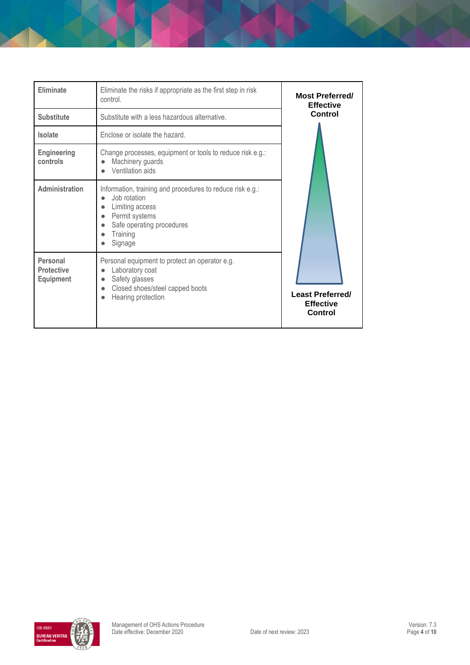| Eliminate<br><b>Substitute</b>                    | Eliminate the risks if appropriate as the first step in risk<br>control.<br>Substitute with a less hazardous alternative.                                                                    | <b>Most Preferred/</b><br><b>Effective</b><br>Control  |
|---------------------------------------------------|----------------------------------------------------------------------------------------------------------------------------------------------------------------------------------------------|--------------------------------------------------------|
| <b>Isolate</b>                                    | Enclose or isolate the hazard.                                                                                                                                                               |                                                        |
| <b>Engineering</b><br>controls                    | Change processes, equipment or tools to reduce risk e.g.:<br>Machinery guards<br>Ventilation aids                                                                                            |                                                        |
| Administration                                    | Information, training and procedures to reduce risk e.g.:<br>Job rotation<br>$\bullet$<br>Limiting access<br>Permit systems<br>Safe operating procedures<br>$\bullet$<br>Training<br>Signage |                                                        |
| Personal<br><b>Protective</b><br><b>Equipment</b> | Personal equipment to protect an operator e.g.<br>Laboratory coat<br>$\bullet$<br>Safety glasses<br>$\bullet$<br>Closed shoes/steel capped boots<br>$\bullet$<br>Hearing protection          | <b>Least Preferred/</b><br><b>Effective</b><br>Control |

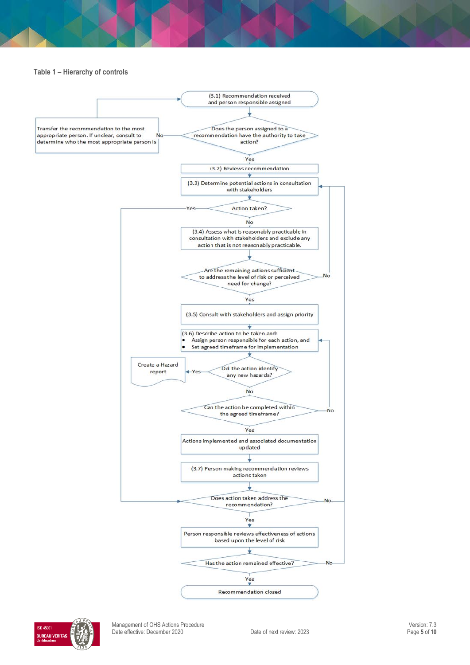#### **Table 1 – Hierarchy of controls**





Management of OHS Actions Procedure<br>
Date effective: December 2020 Consumer 2020 Charles Consumer Cate of next review: 2023 Date effective: December 2020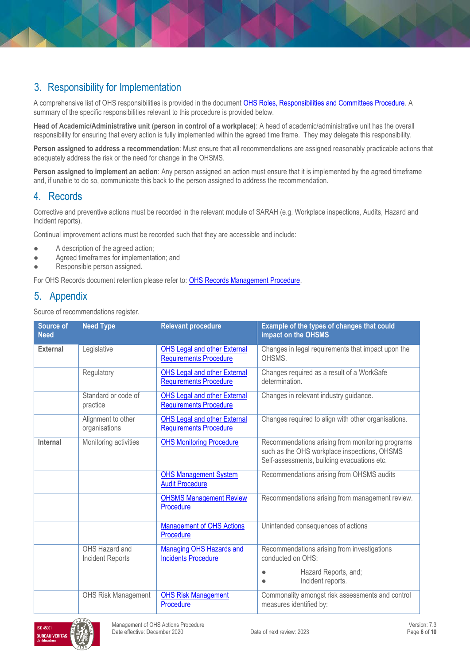# 3. Responsibility for Implementation

A comprehensive list of OHS responsibilities is provided in the document [OHS Roles, Responsibilities and Committees Procedure.](https://publicpolicydms.monash.edu/Monash/documents/1935644) A summary of the specific responsibilities relevant to this procedure is provided below.

**Head of Academic/Administrative unit (person in control of a workplace)**: A head of academic/administrative unit has the overall responsibility for ensuring that every action is fully implemented within the agreed time frame. They may delegate this responsibility.

**Person assigned to address a recommendation**: Must ensure that all recommendations are assigned reasonably practicable actions that adequately address the risk or the need for change in the OHSMS.

**Person assigned to implement an action**: Any person assigned an action must ensure that it is implemented by the agreed timeframe and, if unable to do so, communicate this back to the person assigned to address the recommendation.

## 4. Records

Corrective and preventive actions must be recorded in the relevant module of SARAH (e.g. Workplace inspections, Audits, Hazard and Incident reports).

Continual improvement actions must be recorded such that they are accessible and include:

- A description of the agreed action;
- Agreed timeframes for implementation; and
- Responsible person assigned.

For OHS Records document retention please refer to[: OHS Records Management Procedure.](https://publicpolicydms.monash.edu/Monash/documents/1935642)

## 5. Appendix

Source of recommendations register.

| <b>Source of</b><br><b>Need</b> | <b>Need Type</b>                          | <b>Relevant procedure</b>                                            | Example of the types of changes that could<br>impact on the OHSMS                                                                               |
|---------------------------------|-------------------------------------------|----------------------------------------------------------------------|-------------------------------------------------------------------------------------------------------------------------------------------------|
| <b>External</b>                 | Legislative                               | <b>OHS Legal and other External</b><br><b>Requirements Procedure</b> | Changes in legal requirements that impact upon the<br>OHSMS.                                                                                    |
|                                 | Regulatory                                | <b>OHS Legal and other External</b><br><b>Requirements Procedure</b> | Changes required as a result of a WorkSafe<br>determination.                                                                                    |
|                                 | Standard or code of<br>practice           | <b>OHS Legal and other External</b><br><b>Requirements Procedure</b> | Changes in relevant industry guidance.                                                                                                          |
|                                 | Alignment to other<br>organisations       | <b>OHS Legal and other External</b><br><b>Requirements Procedure</b> | Changes required to align with other organisations.                                                                                             |
| <b>Internal</b>                 | Monitoring activities                     | <b>OHS Monitoring Procedure</b>                                      | Recommendations arising from monitoring programs<br>such as the OHS workplace inspections, OHSMS<br>Self-assessments, building evacuations etc. |
|                                 |                                           | <b>OHS Management System</b><br><b>Audit Procedure</b>               | Recommendations arising from OHSMS audits                                                                                                       |
|                                 |                                           | <b>OHSMS Management Review</b><br>Procedure                          | Recommendations arising from management review.                                                                                                 |
|                                 |                                           | <b>Management of OHS Actions</b><br>Procedure                        | Unintended consequences of actions                                                                                                              |
|                                 | OHS Hazard and<br><b>Incident Reports</b> | Managing OHS Hazards and<br><b>Incidents Procedure</b>               | Recommendations arising from investigations<br>conducted on OHS:                                                                                |
|                                 |                                           |                                                                      | Hazard Reports, and;<br>Incident reports.                                                                                                       |
|                                 | <b>OHS Risk Management</b>                | <b>OHS Risk Management</b><br>Procedure                              | Commonality amongst risk assessments and control<br>measures identified by:                                                                     |

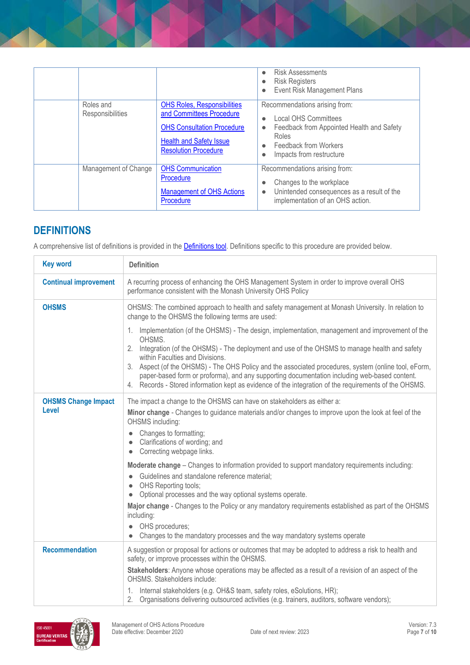|                               |                                                                                                                                                                      | <b>Risk Assessments</b><br>$\bullet$<br><b>Risk Registers</b><br>$\bullet$<br>Event Risk Management Plans<br>$\bullet$                                                                                                      |
|-------------------------------|----------------------------------------------------------------------------------------------------------------------------------------------------------------------|-----------------------------------------------------------------------------------------------------------------------------------------------------------------------------------------------------------------------------|
| Roles and<br>Responsibilities | <b>OHS Roles, Responsibilities</b><br>and Committees Procedure<br><b>OHS Consultation Procedure</b><br><b>Health and Safety Issue</b><br><b>Resolution Procedure</b> | Recommendations arising from:<br><b>Local OHS Committees</b><br>$\bullet$<br>Feedback from Appointed Health and Safety<br>$\bullet$<br>Roles<br>Feedback from Workers<br>$\bullet$<br>Impacts from restructure<br>$\bullet$ |
| Management of Change          | <b>OHS Communication</b><br>Procedure<br><b>Management of OHS Actions</b><br>Procedure                                                                               | Recommendations arising from:<br>Changes to the workplace<br>Unintended consequences as a result of the<br>$\bullet$<br>implementation of an OHS action.                                                                    |

## **DEFINITIONS**

A comprehensive list of definitions is provided in the **Definitions tool**. Definitions specific to this procedure are provided below.

| <b>Key word</b>                            | <b>Definition</b>                                                                                                                                                                                                                                                                                                                                                                                                                                                                                                                                                 |  |
|--------------------------------------------|-------------------------------------------------------------------------------------------------------------------------------------------------------------------------------------------------------------------------------------------------------------------------------------------------------------------------------------------------------------------------------------------------------------------------------------------------------------------------------------------------------------------------------------------------------------------|--|
| <b>Continual improvement</b>               | A recurring process of enhancing the OHS Management System in order to improve overall OHS<br>performance consistent with the Monash University OHS Policy                                                                                                                                                                                                                                                                                                                                                                                                        |  |
| <b>OHSMS</b>                               | OHSMS: The combined approach to health and safety management at Monash University. In relation to<br>change to the OHSMS the following terms are used:                                                                                                                                                                                                                                                                                                                                                                                                            |  |
|                                            | 1. Implementation (of the OHSMS) - The design, implementation, management and improvement of the<br>OHSMS.<br>2. Integration (of the OHSMS) - The deployment and use of the OHSMS to manage health and safety<br>within Faculties and Divisions.<br>3. Aspect (of the OHSMS) - The OHS Policy and the associated procedures, system (online tool, eForm,<br>paper-based form or proforma), and any supporting documentation including web-based content.<br>4. Records - Stored information kept as evidence of the integration of the requirements of the OHSMS. |  |
| <b>OHSMS Change Impact</b><br><b>Level</b> | The impact a change to the OHSMS can have on stakeholders as either a:<br>Minor change - Changes to guidance materials and/or changes to improve upon the look at feel of the<br>OHSMS including:<br>• Changes to formatting;<br>Clarifications of wording; and<br>• Correcting webpage links.                                                                                                                                                                                                                                                                    |  |
|                                            | Moderate change - Changes to information provided to support mandatory requirements including:<br>Guidelines and standalone reference material;<br>OHS Reporting tools;<br>Optional processes and the way optional systems operate.<br>$\bullet$<br>Major change - Changes to the Policy or any mandatory requirements established as part of the OHSMS<br>including:<br>OHS procedures;<br>Changes to the mandatory processes and the way mandatory systems operate                                                                                              |  |
| <b>Recommendation</b>                      | A suggestion or proposal for actions or outcomes that may be adopted to address a risk to health and<br>safety, or improve processes within the OHSMS.<br>Stakeholders: Anyone whose operations may be affected as a result of a revision of an aspect of the<br>OHSMS. Stakeholders include:<br>1. Internal stakeholders (e.g. OH&S team, safety roles, eSolutions, HR);<br>2. Organisations delivering outsourced activities (e.g. trainers, auditors, software vendors);                                                                                       |  |

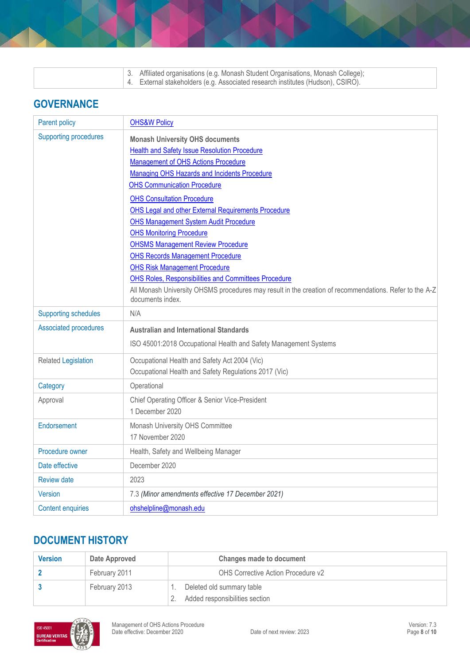| 3. Affiliated organisations (e.g. Monash Student Organisations, Monash College);<br>4. External stakeholders (e.g. Associated research institutes (Hudson), CSIRO). |
|---------------------------------------------------------------------------------------------------------------------------------------------------------------------|
|---------------------------------------------------------------------------------------------------------------------------------------------------------------------|

## **GOVERNANCE**

| <b>Parent policy</b>         | <b>OHS&amp;W Policy</b>                                                                                                                                                                                                                                                                                                                                                                                                                                                                                                                                                                                                                                                                                                               |
|------------------------------|---------------------------------------------------------------------------------------------------------------------------------------------------------------------------------------------------------------------------------------------------------------------------------------------------------------------------------------------------------------------------------------------------------------------------------------------------------------------------------------------------------------------------------------------------------------------------------------------------------------------------------------------------------------------------------------------------------------------------------------|
| <b>Supporting procedures</b> | <b>Monash University OHS documents</b><br><b>Health and Safety Issue Resolution Procedure</b><br>Management of OHS Actions Procedure<br>Managing OHS Hazards and Incidents Procedure<br><b>OHS Communication Procedure</b><br><b>OHS Consultation Procedure</b><br><b>OHS Legal and other External Requirements Procedure</b><br><b>OHS Management System Audit Procedure</b><br><b>OHS Monitoring Procedure</b><br><b>OHSMS Management Review Procedure</b><br><b>OHS Records Management Procedure</b><br><b>OHS Risk Management Procedure</b><br>OHS Roles, Responsibilities and Committees Procedure<br>All Monash University OHSMS procedures may result in the creation of recommendations. Refer to the A-Z<br>documents index. |
| <b>Supporting schedules</b>  | N/A                                                                                                                                                                                                                                                                                                                                                                                                                                                                                                                                                                                                                                                                                                                                   |
| <b>Associated procedures</b> | <b>Australian and International Standards</b>                                                                                                                                                                                                                                                                                                                                                                                                                                                                                                                                                                                                                                                                                         |
|                              | ISO 45001:2018 Occupational Health and Safety Management Systems                                                                                                                                                                                                                                                                                                                                                                                                                                                                                                                                                                                                                                                                      |
| <b>Related Legislation</b>   | Occupational Health and Safety Act 2004 (Vic)<br>Occupational Health and Safety Regulations 2017 (Vic)                                                                                                                                                                                                                                                                                                                                                                                                                                                                                                                                                                                                                                |
| Category                     | Operational                                                                                                                                                                                                                                                                                                                                                                                                                                                                                                                                                                                                                                                                                                                           |
| Approval                     | Chief Operating Officer & Senior Vice-President<br>1 December 2020                                                                                                                                                                                                                                                                                                                                                                                                                                                                                                                                                                                                                                                                    |
| Endorsement                  | Monash University OHS Committee<br>17 November 2020                                                                                                                                                                                                                                                                                                                                                                                                                                                                                                                                                                                                                                                                                   |
| Procedure owner              | Health, Safety and Wellbeing Manager                                                                                                                                                                                                                                                                                                                                                                                                                                                                                                                                                                                                                                                                                                  |
| Date effective               | December 2020                                                                                                                                                                                                                                                                                                                                                                                                                                                                                                                                                                                                                                                                                                                         |
| <b>Review date</b>           | 2023                                                                                                                                                                                                                                                                                                                                                                                                                                                                                                                                                                                                                                                                                                                                  |
| <b>Version</b>               | 7.3 (Minor amendments effective 17 December 2021)                                                                                                                                                                                                                                                                                                                                                                                                                                                                                                                                                                                                                                                                                     |
| <b>Content enquiries</b>     | ohshelpline@monash.edu                                                                                                                                                                                                                                                                                                                                                                                                                                                                                                                                                                                                                                                                                                                |

## **DOCUMENT HISTORY**

| <b>Version</b> | Date Approved | Changes made to document           |
|----------------|---------------|------------------------------------|
|                | February 2011 | OHS Corrective Action Procedure v2 |
|                | February 2013 | Deleted old summary table          |
|                |               | Added responsibilities section     |

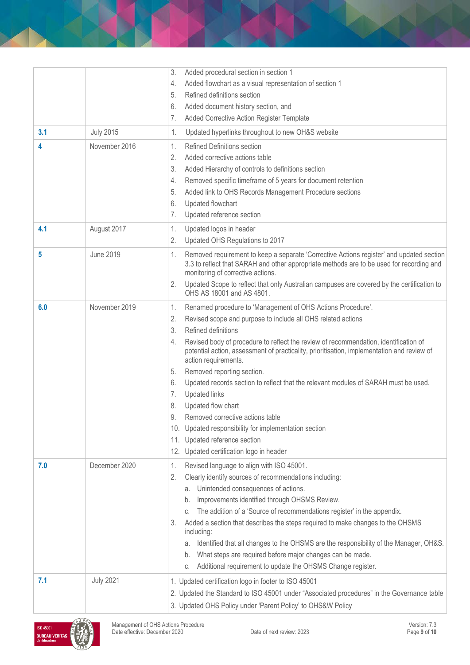|     |                  | 3.<br>Added procedural section in section 1<br>Added flowchart as a visual representation of section 1<br>4.<br>Refined definitions section<br>5.<br>Added document history section, and<br>6.<br>7.<br>Added Corrective Action Register Template                                                                                                                                                                                                                                                                                                                                                                                                                                                                                                                  |
|-----|------------------|--------------------------------------------------------------------------------------------------------------------------------------------------------------------------------------------------------------------------------------------------------------------------------------------------------------------------------------------------------------------------------------------------------------------------------------------------------------------------------------------------------------------------------------------------------------------------------------------------------------------------------------------------------------------------------------------------------------------------------------------------------------------|
| 3.1 | <b>July 2015</b> | Updated hyperlinks throughout to new OH&S website<br>1.                                                                                                                                                                                                                                                                                                                                                                                                                                                                                                                                                                                                                                                                                                            |
| 4   | November 2016    | 1.<br><b>Refined Definitions section</b><br>2.<br>Added corrective actions table<br>3.<br>Added Hierarchy of controls to definitions section<br>Removed specific timeframe of 5 years for document retention<br>4.<br>Added link to OHS Records Management Procedure sections<br>5.<br>6.<br>Updated flowchart<br>Updated reference section<br>7.                                                                                                                                                                                                                                                                                                                                                                                                                  |
| 4.1 | August 2017      | Updated logos in header<br>1.<br>2.<br>Updated OHS Regulations to 2017                                                                                                                                                                                                                                                                                                                                                                                                                                                                                                                                                                                                                                                                                             |
| 5   | <b>June 2019</b> | Removed requirement to keep a separate 'Corrective Actions register' and updated section<br>1.<br>3.3 to reflect that SARAH and other appropriate methods are to be used for recording and<br>monitoring of corrective actions.<br>Updated Scope to reflect that only Australian campuses are covered by the certification to<br>2.<br>OHS AS 18001 and AS 4801.                                                                                                                                                                                                                                                                                                                                                                                                   |
| 6.0 | November 2019    | Renamed procedure to 'Management of OHS Actions Procedure'.<br>1.<br>2.<br>Revised scope and purpose to include all OHS related actions<br>3.<br>Refined definitions<br>Revised body of procedure to reflect the review of recommendation, identification of<br>4.<br>potential action, assessment of practicality, prioritisation, implementation and review of<br>action requirements.<br>Removed reporting section.<br>5.<br>Updated records section to reflect that the relevant modules of SARAH must be used.<br>6.<br><b>Updated links</b><br>7.<br>Updated flow chart<br>8.<br>9<br>Removed corrective actions table<br>10. Updated responsibility for implementation section<br>11. Updated reference section<br>12. Updated certification logo in header |
| 7.0 | December 2020    | Revised language to align with ISO 45001.<br>1.<br>2.<br>Clearly identify sources of recommendations including:<br>a. Unintended consequences of actions.<br>Improvements identified through OHSMS Review.<br>b.<br>The addition of a 'Source of recommendations register' in the appendix.<br>C.<br>Added a section that describes the steps required to make changes to the OHSMS<br>3.<br>including:<br>Identified that all changes to the OHSMS are the responsibility of the Manager, OH&S.<br>а.<br>What steps are required before major changes can be made.<br>b.<br>Additional requirement to update the OHSMS Change register.<br>С.                                                                                                                     |
| 7.1 | <b>July 2021</b> | 1. Updated certification logo in footer to ISO 45001<br>2. Updated the Standard to ISO 45001 under "Associated procedures" in the Governance table<br>3. Updated OHS Policy under 'Parent Policy' to OHS&W Policy                                                                                                                                                                                                                                                                                                                                                                                                                                                                                                                                                  |